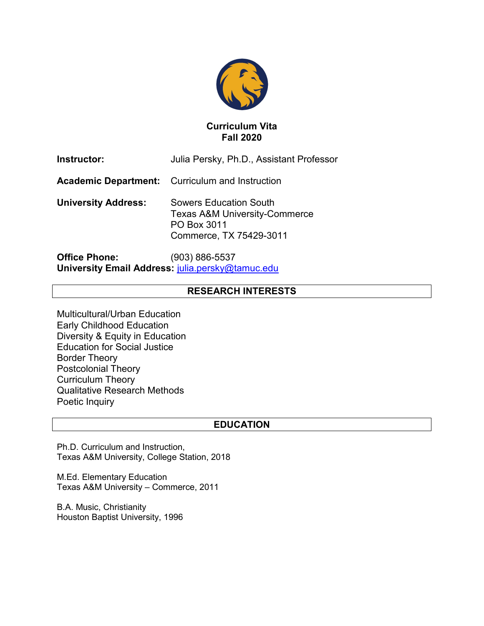

## **Curriculum Vita Fall 2020**

| Instructor:                | Julia Persky, Ph.D., Assistant Professor                                                                     |
|----------------------------|--------------------------------------------------------------------------------------------------------------|
|                            | <b>Academic Department:</b> Curriculum and Instruction                                                       |
| <b>University Address:</b> | Sowers Education South<br><b>Texas A&amp;M University-Commerce</b><br>PO Box 3011<br>Commerce, TX 75429-3011 |

**Office Phone:** (903) 886-5537 **University Email Address:** [julia.persky@tamuc.edu](mailto:julia.persky@tamuc.edu)

# **RESEARCH INTERESTS**

Multicultural/Urban Education Early Childhood Education Diversity & Equity in Education Education for Social Justice Border Theory Postcolonial Theory Curriculum Theory Qualitative Research Methods Poetic Inquiry

## **EDUCATION**

Ph.D. Curriculum and Instruction, Texas A&M University, College Station, 2018

M.Ed. Elementary Education Texas A&M University – Commerce, 2011

B.A. Music, Christianity Houston Baptist University, 1996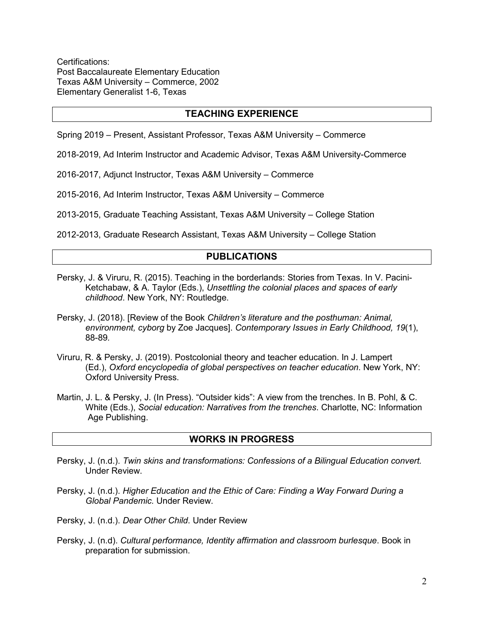Certifications: Post Baccalaureate Elementary Education Texas A&M University – Commerce, 2002 Elementary Generalist 1-6, Texas

## **TEACHING EXPERIENCE**

Spring 2019 – Present, Assistant Professor, Texas A&M University – Commerce

2018-2019, Ad Interim Instructor and Academic Advisor, Texas A&M University-Commerce

2016-2017, Adjunct Instructor, Texas A&M University – Commerce

2015-2016, Ad Interim Instructor, Texas A&M University – Commerce

2013-2015, Graduate Teaching Assistant, Texas A&M University – College Station

2012-2013, Graduate Research Assistant, Texas A&M University – College Station

### **PUBLICATIONS**

- Persky, J. & Viruru, R. (2015). Teaching in the borderlands: Stories from Texas. In V. Pacini-Ketchabaw, & A. Taylor (Eds.), *Unsettling the colonial places and spaces of early childhood*. New York, NY: Routledge.
- Persky, J. (2018). [Review of the Book *Children's literature and the posthuman: Animal, environment, cyborg* by Zoe Jacques]. *Contemporary Issues in Early Childhood, 19*(1), 88-89*.*
- Viruru, R. & Persky, J. (2019). Postcolonial theory and teacher education. In J. Lampert (Ed.), *Oxford encyclopedia of global perspectives on teacher education*. New York, NY: Oxford University Press.
- Martin, J. L. & Persky, J. (In Press). "Outsider kids": A view from the trenches. In B. Pohl, & C. White (Eds.), *Social education: Narratives from the trenches*. Charlotte, NC: Information Age Publishing.

#### **WORKS IN PROGRESS**

- Persky, J. (n.d.). *Twin skins and transformations: Confessions of a Bilingual Education convert.* Under Review.
- Persky, J. (n.d.). *Higher Education and the Ethic of Care: Finding a Way Forward During a Global Pandemic.* Under Review.
- Persky, J. (n.d.). *Dear Other Child*. Under Review
- Persky, J. (n.d). *Cultural performance, Identity affirmation and classroom burlesque*. Book in preparation for submission.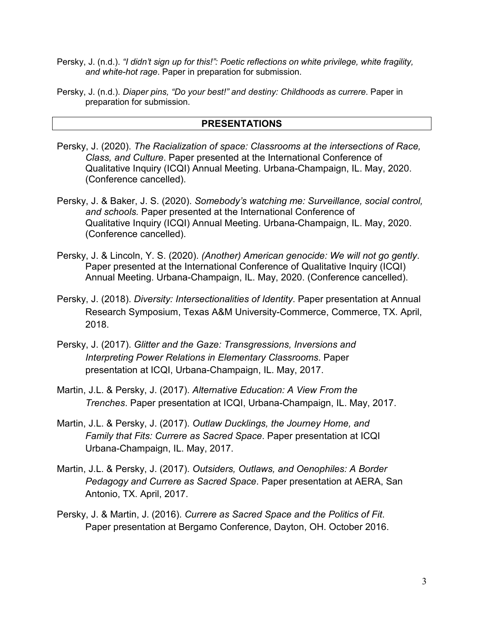- Persky, J. (n.d.). *"I didn't sign up for this!": Poetic reflections on white privilege, white fragility, and white-hot rage*. Paper in preparation for submission.
- Persky, J. (n.d.). *Diaper pins, "Do your best!" and destiny: Childhoods as currere*. Paper in preparation for submission.

## **PRESENTATIONS**

- Persky, J. (2020). *The Racialization of space: Classrooms at the intersections of Race, Class, and Culture*. Paper presented at the International Conference of Qualitative Inquiry (ICQI) Annual Meeting. Urbana-Champaign, IL. May, 2020. (Conference cancelled).
- Persky, J. & Baker, J. S. (2020). *Somebody's watching me: Surveillance, social control, and schools.* Paper presented at the International Conference of Qualitative Inquiry (ICQI) Annual Meeting. Urbana-Champaign, IL. May, 2020. (Conference cancelled).
- Persky, J. & Lincoln, Y. S. (2020). *(Another) American genocide: We will not go gently*. Paper presented at the International Conference of Qualitative Inquiry (ICQI) Annual Meeting. Urbana-Champaign, IL. May, 2020. (Conference cancelled).
- Persky, J. (2018). *Diversity: Intersectionalities of Identity*. Paper presentation at Annual Research Symposium, Texas A&M University-Commerce, Commerce, TX. April, 2018.
- Persky, J. (2017). *Glitter and the Gaze: Transgressions, Inversions and Interpreting Power Relations in Elementary Classrooms*. Paper presentation at ICQI, Urbana-Champaign, IL. May, 2017.
- Martin, J.L. & Persky, J. (2017). *Alternative Education: A View From the Trenches*. Paper presentation at ICQI, Urbana-Champaign, IL. May, 2017.
- Martin, J.L. & Persky, J. (2017). *Outlaw Ducklings, the Journey Home, and Family that Fits: Currere as Sacred Space*. Paper presentation at ICQI Urbana-Champaign, IL. May, 2017.
- Martin, J.L. & Persky, J. (2017). *Outsiders, Outlaws, and Oenophiles: A Border Pedagogy and Currere as Sacred Space*. Paper presentation at AERA, San Antonio, TX. April, 2017.
- Persky, J. & Martin, J. (2016). *Currere as Sacred Space and the Politics of Fit*. Paper presentation at Bergamo Conference, Dayton, OH. October 2016.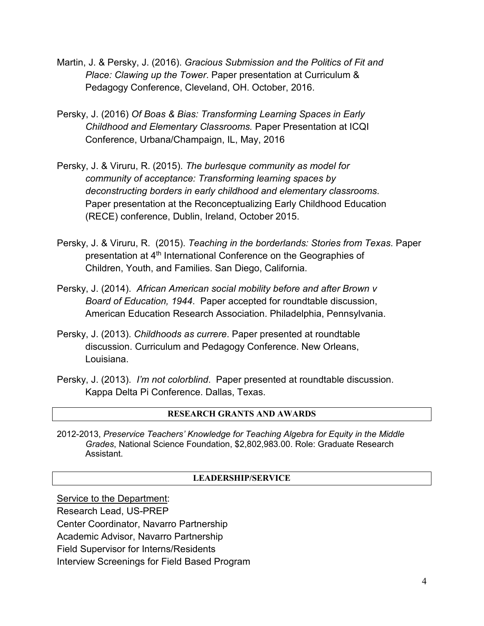- Martin, J. & Persky, J. (2016). *Gracious Submission and the Politics of Fit and Place: Clawing up the Tower*. Paper presentation at Curriculum & Pedagogy Conference, Cleveland, OH. October, 2016.
- Persky, J. (2016) *Of Boas & Bias: Transforming Learning Spaces in Early Childhood and Elementary Classrooms.* Paper Presentation at ICQI Conference, Urbana/Champaign, IL, May, 2016
- Persky, J. & Viruru, R. (2015). *The burlesque community as model for community of acceptance: Transforming learning spaces by deconstructing borders in early childhood and elementary classrooms*. Paper presentation at the Reconceptualizing Early Childhood Education (RECE) conference, Dublin, Ireland, October 2015.
- Persky, J. & Viruru, R. (2015). *Teaching in the borderlands: Stories from Texas*. Paper presentation at 4<sup>th</sup> International Conference on the Geographies of Children, Youth, and Families. San Diego, California.
- Persky, J. (2014). *African American social mobility before and after Brown v Board of Education, 1944*. Paper accepted for roundtable discussion, American Education Research Association. Philadelphia, Pennsylvania.
- Persky, J. (2013). *Childhoods as currere*. Paper presented at roundtable discussion. Curriculum and Pedagogy Conference. New Orleans, Louisiana.
- Persky, J. (2013). *I'm not colorblind*. Paper presented at roundtable discussion. Kappa Delta Pi Conference. Dallas, Texas.

### **RESEARCH GRANTS AND AWARDS**

2012-2013, *Preservice Teachers' Knowledge for Teaching Algebra for Equity in the Middle Grades*, National Science Foundation, \$2,802,983.00. Role: Graduate Research Assistant.

### **LEADERSHIP/SERVICE**

Service to the Department: Research Lead, US-PREP Center Coordinator, Navarro Partnership

Academic Advisor, Navarro Partnership

Field Supervisor for Interns/Residents

Interview Screenings for Field Based Program